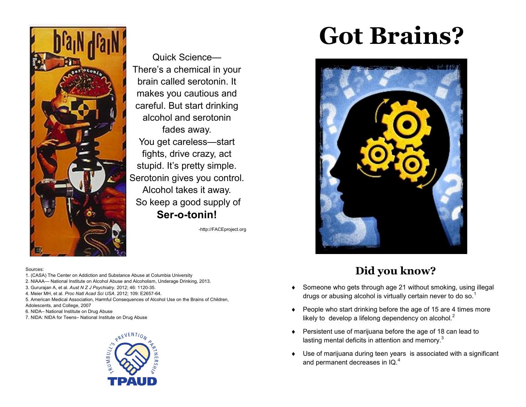

Quick Science— There's a chemical in your brain called serotonin. It makes you cautious and careful. But start drinking alcohol and serotonin fades away. You get careless—start fights, drive crazy, act stupid. It's pretty simple. Serotonin gives you control. Alcohol takes it away. So keep a good supply of **Ser-o-tonin!**

-http://FACEproject.org

#### Sources:

- 1. (CASA) The Center on Addiction and Substance Abuse at Columbia University
- 2. NIAAA— National Institute on Alcohol Abuse and Alcoholism, Underage Drinking, 2013.
- 3. Gururajan A, et al. *Aust N Z J Psychiatry*. 2012; 46: 1120-35.
- 4. Meier MH, et al. *Proc Natl Acad Sci USA*. 2012; 109: E2657-64.
- 5. American Medical Association, Harmful Consequences of Alcohol Use on the Brains of Children, Adolescents, and College, 2007
- 6. NIDA– National Institute on Drug Abuse
- 7. NIDA: NIDA for Teens– National Institute on Drug Abuse



# **Got Brains?**



### **Did you know?**

- Someone who gets through age 21 without smoking, using illegal drugs or abusing alcohol is virtually certain never to do so.<sup>1</sup>
- ◆ People who start drinking before the age of 15 are 4 times more likely to develop a lifelong dependency on alcohol. $<sup>2</sup>$ </sup>
- ◆ Persistent use of marijuana before the age of 18 can lead to lasting mental deficits in attention and memory. $3$
- Use of marijuana during teen years is associated with a significant and permanent decreases in IQ.<sup>4</sup>